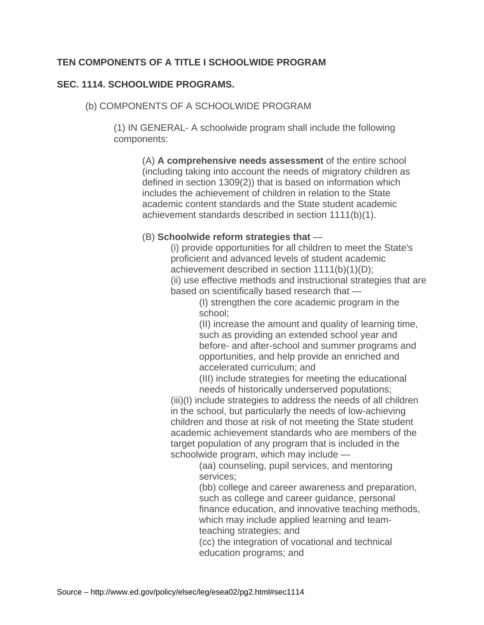## **TEN COMPONENTS OF A TITLE I SCHOOLWIDE PROGRAM**

## **SEC. 1114. SCHOOLWIDE PROGRAMS.**

(b) COMPONENTS OF A SCHOOLWIDE PROGRAM

(1) IN GENERAL- A schoolwide program shall include the following components:

(A) **A comprehensive needs assessment** of the entire school (including taking into account the needs of migratory children as defined in section 1309(2)) that is based on information which includes the achievement of children in relation to the State academic content standards and the State student academic achievement standards described in section 1111(b)(1).

## (B) **Schoolwide reform strategies that** —

(i) provide opportunities for all children to meet the State's proficient and advanced levels of student academic achievement described in section 1111(b)(1)(D); (ii) use effective methods and instructional strategies that are based on scientifically based research that —

> (I) strengthen the core academic program in the school;

(II) increase the amount and quality of learning time, such as providing an extended school year and before- and after-school and summer programs and opportunities, and help provide an enriched and accelerated curriculum; and

(III) include strategies for meeting the educational needs of historically underserved populations;

(iii)(I) include strategies to address the needs of all children in the school, but particularly the needs of low-achieving children and those at risk of not meeting the State student academic achievement standards who are members of the target population of any program that is included in the schoolwide program, which may include —

(aa) counseling, pupil services, and mentoring services;

(bb) college and career awareness and preparation, such as college and career guidance, personal finance education, and innovative teaching methods, which may include applied learning and teamteaching strategies; and

(cc) the integration of vocational and technical education programs; and